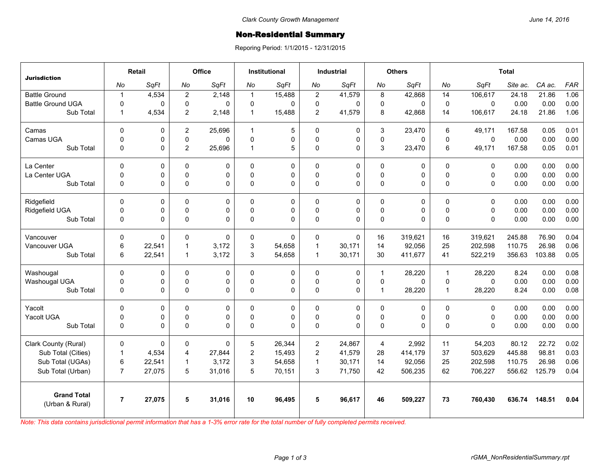## Non-Residential Summary

Reporing Period: 1/1/2015 - 12/31/2015

| Jurisdiction                          | Retail         |        | Office                  |              | <b>Institutional</b> |          | <b>Industrial</b> |             | <b>Others</b> |          | <b>Total</b> |             |          |        |            |
|---------------------------------------|----------------|--------|-------------------------|--------------|----------------------|----------|-------------------|-------------|---------------|----------|--------------|-------------|----------|--------|------------|
|                                       | No             | SqFt   | No                      | SqFt         | No                   | SqFt     | No                | SqFt        | No            | SqFt     | No           | SqFt        | Site ac. | CA ac. | <b>FAR</b> |
| <b>Battle Ground</b>                  | $\mathbf{1}$   | 4,534  | $\overline{2}$          | 2,148        | $\mathbf{1}$         | 15,488   | $\overline{2}$    | 41,579      | 8             | 42,868   | 14           | 106,617     | 24.18    | 21.86  | 1.06       |
| <b>Battle Ground UGA</b>              | $\pmb{0}$      | 0      | $\pmb{0}$               | $\Omega$     | $\Omega$             | 0        | 0                 | $\mathbf 0$ | $\mathsf 0$   | 0        | $\mathbf 0$  | $\mathbf 0$ | 0.00     | 0.00   | 0.00       |
| Sub Total                             | $\mathbf{1}$   | 4,534  | $\overline{c}$          | 2,148        |                      | 15,488   | $\overline{2}$    | 41,579      | 8             | 42,868   | 14           | 106,617     | 24.18    | 21.86  | 1.06       |
| Camas                                 | $\mathbf 0$    | 0      | $\overline{\mathbf{c}}$ | 25,696       | 1                    | 5        | $\mathbf 0$       | $\mathbf 0$ | 3             | 23,470   | 6            | 49,171      | 167.58   | 0.05   | 0.01       |
| Camas UGA                             | $\pmb{0}$      | 0      | $\pmb{0}$               | $\mathbf 0$  | $\Omega$             | 0        | 0                 | $\pmb{0}$   | $\mathsf 0$   | 0        | 0            | $\pmb{0}$   | 0.00     | 0.00   | 0.00       |
| Sub Total                             | 0              | 0      | $\overline{2}$          | 25,696       | $\mathbf{1}$         | 5        | 0                 | 0           | $\mathsf 3$   | 23,470   | 6            | 49,171      | 167.58   | 0.05   | 0.01       |
| La Center                             | $\mathbf 0$    | 0      | 0                       | 0            | $\Omega$             | 0        | 0                 | 0           | $\mathbf 0$   | 0        | 0            | $\Omega$    | 0.00     | 0.00   | 0.00       |
| La Center UGA                         | 0              | 0      | $\mathbf 0$             | 0            | $\Omega$             | 0        | 0                 | $\mathbf 0$ | $\pmb{0}$     | 0        | $\Omega$     | $\Omega$    | 0.00     | 0.00   | 0.00       |
| Sub Total                             | 0              | 0      | $\pmb{0}$               | $\Omega$     | $\Omega$             | 0        | 0                 | 0           | $\mathsf 0$   | $\Omega$ | 0            | 0           | 0.00     | 0.00   | 0.00       |
| Ridgefield                            | $\mathbf 0$    | 0      | $\mathbf 0$             | $\mathbf 0$  | $\Omega$             | 0        | 0                 | 0           | $\mathbf 0$   | 0        | $\Omega$     | $\Omega$    | 0.00     | 0.00   | 0.00       |
| Ridgefield UGA                        | $\mathbf 0$    | 0      | $\mathbf 0$             | 0            | $\Omega$             | 0        | 0                 | $\mathbf 0$ | $\pmb{0}$     | 0        | $\Omega$     | 0           | 0.00     | 0.00   | 0.00       |
| Sub Total                             | 0              | 0      | $\pmb{0}$               | $\Omega$     | $\Omega$             | 0        | 0                 | 0           | $\pmb{0}$     | 0        | 0            | 0           | 0.00     | 0.00   | 0.00       |
| Vancouver                             | $\mathbf 0$    | 0      | $\mathbf 0$             | $\mathbf{0}$ | $\Omega$             | 0        | $\Omega$          | $\Omega$    | 16            | 319.621  | 16           | 319,621     | 245.88   | 76.90  | 0.04       |
| Vancouver UGA                         | 6              | 22,541 | $\mathbf{1}$            | 3,172        | 3                    | 54,658   | $\mathbf{1}$      | 30,171      | 14            | 92,056   | 25           | 202,598     | 110.75   | 26.98  | 0.06       |
| Sub Total                             | 6              | 22,541 | $\overline{1}$          | 3,172        | 3                    | 54,658   | $\mathbf{1}$      | 30,171      | 30            | 411,677  | 41           | 522,219     | 356.63   | 103.88 | 0.05       |
| Washougal                             | $\Omega$       | 0      | $\Omega$                | $\Omega$     | $\Omega$             | $\Omega$ | $\Omega$          | $\Omega$    | $\mathbf{1}$  | 28,220   | $\mathbf{1}$ | 28,220      | 8.24     | 0.00   | 0.08       |
| Washougal UGA                         | 0              | 0      | $\pmb{0}$               | $\mathbf 0$  | $\Omega$             | 0        | 0                 | $\pmb{0}$   | $\mathsf 0$   | $\Omega$ | $\mathbf 0$  | $\mathbf 0$ | 0.00     | 0.00   | 0.00       |
| Sub Total                             | $\mathbf 0$    | 0      | $\mathbf 0$             | $\Omega$     | $\Omega$             | $\Omega$ | 0                 | $\Omega$    | $\mathbf{1}$  | 28,220   | $\mathbf{1}$ | 28,220      | 8.24     | 0.00   | 0.08       |
| Yacolt                                | $\mathbf 0$    | 0      | $\mathbf 0$             | 0            | $\Omega$             | 0        | 0                 | $\mathbf 0$ | 0             | 0        | 0            | 0           | 0.00     | 0.00   | 0.00       |
| Yacolt UGA                            | $\mathsf 0$    | 0      | $\mathbf 0$             | $\mathbf 0$  | $\mathbf{0}$         | 0        | 0                 | $\pmb{0}$   | $\mathsf 0$   | 0        | 0            | 0           | 0.00     | 0.00   | 0.00       |
| Sub Total                             | $\mathbf 0$    | 0      | 0                       | $\Omega$     | $\Omega$             | $\Omega$ | 0                 | $\Omega$    | 0             | $\Omega$ | 0            | $\Omega$    | 0.00     | 0.00   | 0.00       |
| Clark County (Rural)                  | 0              | 0      | 0                       | $\Omega$     | 5                    | 26,344   | $\overline{2}$    | 24,867      | 4             | 2,992    | 11           | 54,203      | 80.12    | 22.72  | 0.02       |
| Sub Total (Cities)                    | $\mathbf{1}$   | 4,534  | $\overline{4}$          | 27,844       | $\overline{2}$       | 15,493   | $\overline{2}$    | 41,579      | 28            | 414,179  | 37           | 503,629     | 445.88   | 98.81  | 0.03       |
| Sub Total (UGAs)                      | 6              | 22,541 | $\overline{1}$          | 3,172        | 3                    | 54,658   | $\mathbf{1}$      | 30,171      | 14            | 92,056   | 25           | 202,598     | 110.75   | 26.98  | 0.06       |
| Sub Total (Urban)                     | $\overline{7}$ | 27,075 | 5                       | 31,016       | 5                    | 70,151   | 3                 | 71,750      | 42            | 506,235  | 62           | 706,227     | 556.62   | 125.79 | 0.04       |
| <b>Grand Total</b><br>(Urban & Rural) | $\overline{7}$ | 27,075 | 5                       | 31,016       | 10                   | 96,495   | 5                 | 96,617      | 46            | 509,227  | 73           | 760,430     | 636.74   | 148.51 | 0.04       |

*Note: This data contains jurisdictional permit information that has a 1-3% error rate for the total number of fully completed permits received.*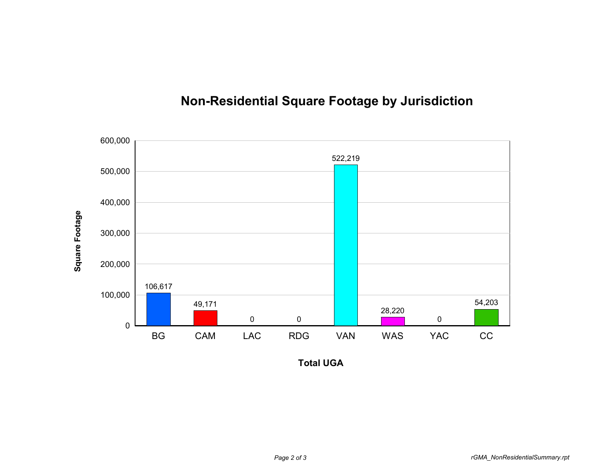

## **Non-Residential Square Footage by Jurisdiction**

**Total UGA**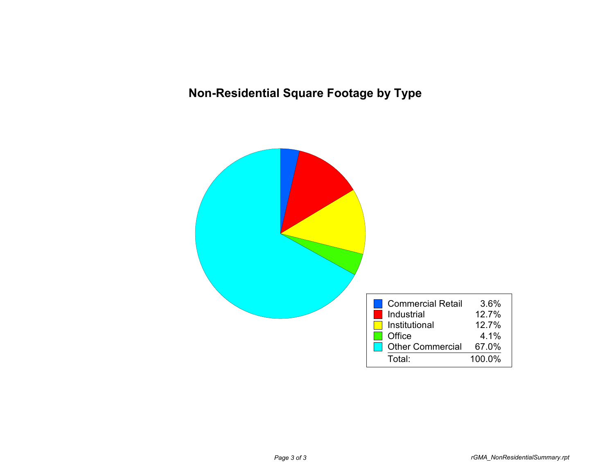## **Non-Residential Square Footage by Type**